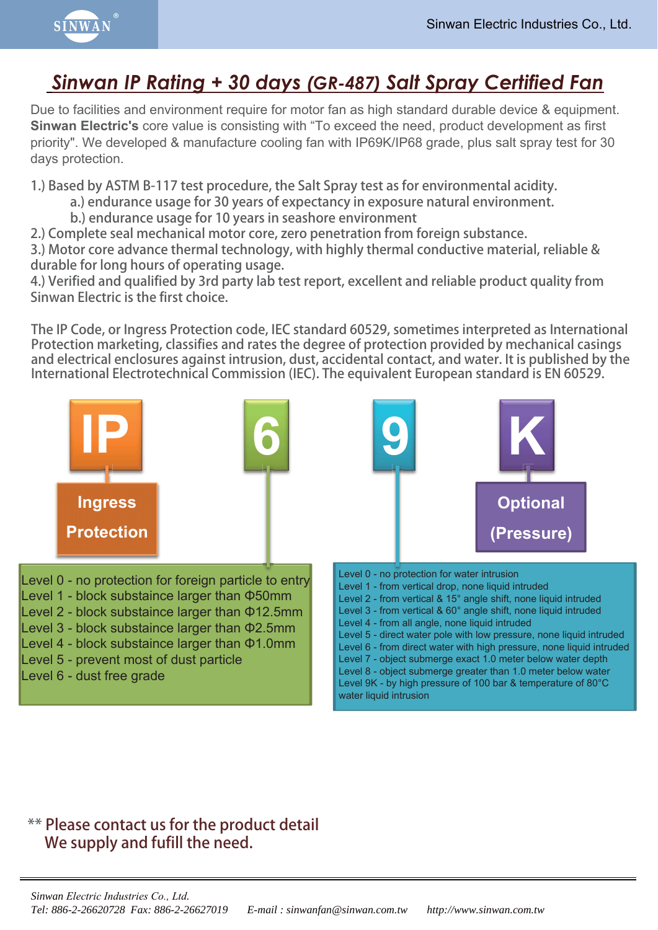

## Sinwan IP Rating + 30 days (GR-487) Salt Spray Certified Fan

Due to facilities and environment require for motor fan as high standard durable device & equipment. **Sinwan Electric's** core value is consisting with "To exceed the need, product development as first priority". We developed & manufacture cooling fan with IP69K/IP68 grade, plus salt spray test for 30 days protection.

**1.) Based by ASTM B-117 test procedure, the Salt Spray test as for environmental acidity.**

- **a.) endurance usage for 30 years of expectancy in exposure natural environment.**
- **b.) endurance usage for 10 years in seashore environment**
- **2.) Complete seal mechanical motor core, zero penetration from foreign substance.**

**3.) Motor core advance thermal technology, with highly thermal conductive material, reliable & durable for long hours of operating usage.**

**4.) Verified and qualified by 3rd party lab test report, excellent and reliable product quality from Sinwan Electric is the first choice.**

**The IP Code, or Ingress Protection code, IEC standard 60529, sometimes interpreted as International Protection marketing, classifies and rates the degree of protection provided by mechanical casings and electrical enclosures against intrusion, dust, accidental contact, and water. It is published by the International Electrotechnical Commission (IEC). The equivalent European standard is EN 60529.**



## **\*\* Please contact us for the product detail We supply and fufill the need.**